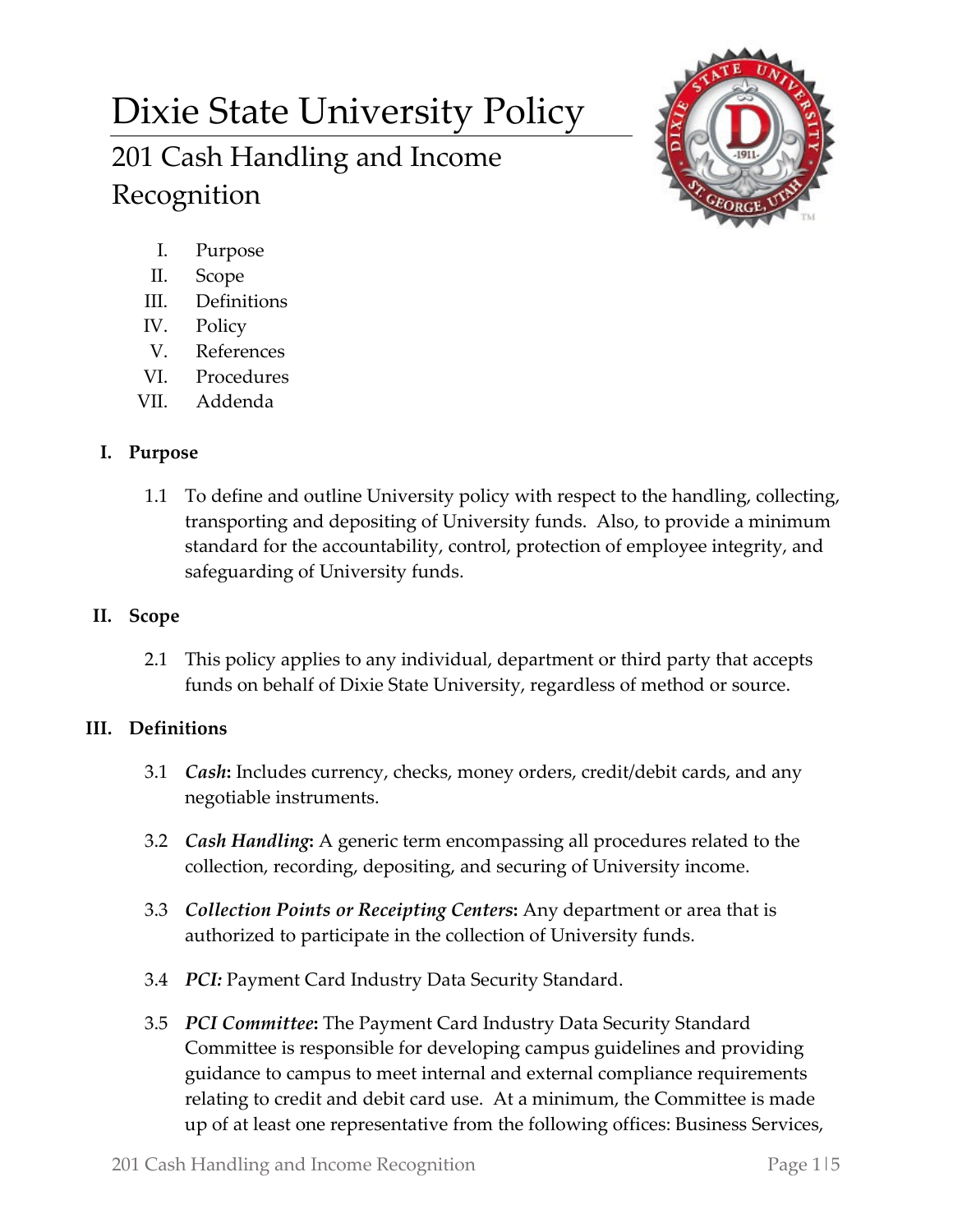# Dixie State University Policy 201 Cash Handling and Income Recognition



- I. Purpose
- II. Scope
- III. Definitions
- IV. Policy
- V. References
- VI. Procedures
- VII. Addenda

## **I. Purpose**

1.1 To define and outline University policy with respect to the handling, collecting, transporting and depositing of University funds. Also, to provide a minimum standard for the accountability, control, protection of employee integrity, and safeguarding of University funds.

## **II. Scope**

2.1 This policy applies to any individual, department or third party that accepts funds on behalf of Dixie State University, regardless of method or source.

## **III. Definitions**

- 3.1 *Cash***:** Includes currency, checks, money orders, credit/debit cards, and any negotiable instruments.
- 3.2 *Cash Handling***:** A generic term encompassing all procedures related to the collection, recording, depositing, and securing of University income.
- 3.3 *Collection Points or Receipting Centers***:** Any department or area that is authorized to participate in the collection of University funds.
- 3.4 *PCI:* Payment Card Industry Data Security Standard.
- 3.5 *PCI Committee***:** The Payment Card Industry Data Security Standard Committee is responsible for developing campus guidelines and providing guidance to campus to meet internal and external compliance requirements relating to credit and debit card use. At a minimum, the Committee is made up of at least one representative from the following offices: Business Services,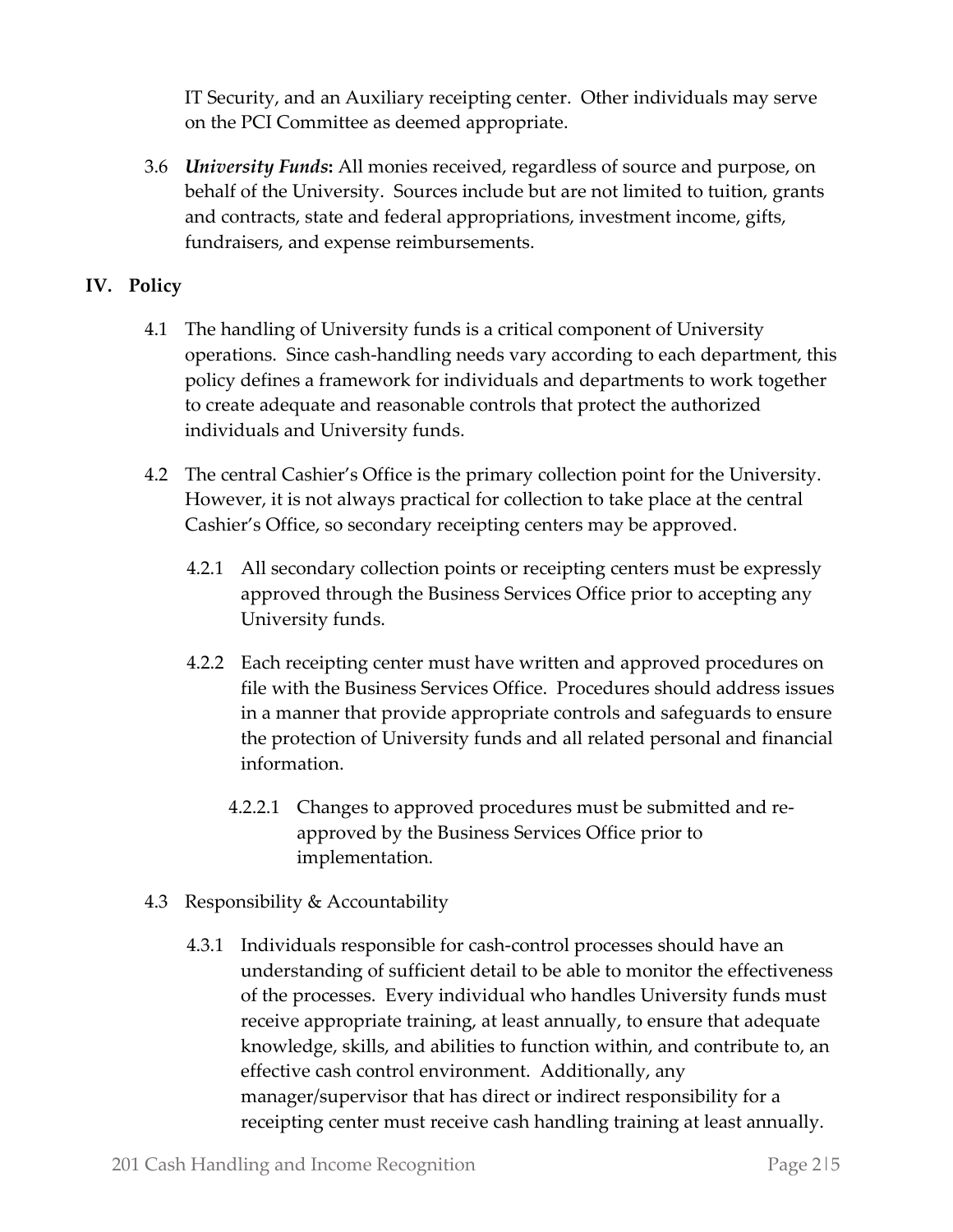IT Security, and an Auxiliary receipting center. Other individuals may serve on the PCI Committee as deemed appropriate.

3.6 *University Funds***:** All monies received, regardless of source and purpose, on behalf of the University. Sources include but are not limited to tuition, grants and contracts, state and federal appropriations, investment income, gifts, fundraisers, and expense reimbursements.

### **IV. Policy**

- 4.1 The handling of University funds is a critical component of University operations. Since cash-handling needs vary according to each department, this policy defines a framework for individuals and departments to work together to create adequate and reasonable controls that protect the authorized individuals and University funds.
- 4.2 The central Cashier's Office is the primary collection point for the University. However, it is not always practical for collection to take place at the central Cashier's Office, so secondary receipting centers may be approved.
	- 4.2.1 All secondary collection points or receipting centers must be expressly approved through the Business Services Office prior to accepting any University funds.
	- 4.2.2 Each receipting center must have written and approved procedures on file with the Business Services Office. Procedures should address issues in a manner that provide appropriate controls and safeguards to ensure the protection of University funds and all related personal and financial information.
		- 4.2.2.1 Changes to approved procedures must be submitted and reapproved by the Business Services Office prior to implementation.
- 4.3 Responsibility & Accountability
	- 4.3.1 Individuals responsible for cash-control processes should have an understanding of sufficient detail to be able to monitor the effectiveness of the processes. Every individual who handles University funds must receive appropriate training, at least annually, to ensure that adequate knowledge, skills, and abilities to function within, and contribute to, an effective cash control environment. Additionally, any manager/supervisor that has direct or indirect responsibility for a receipting center must receive cash handling training at least annually.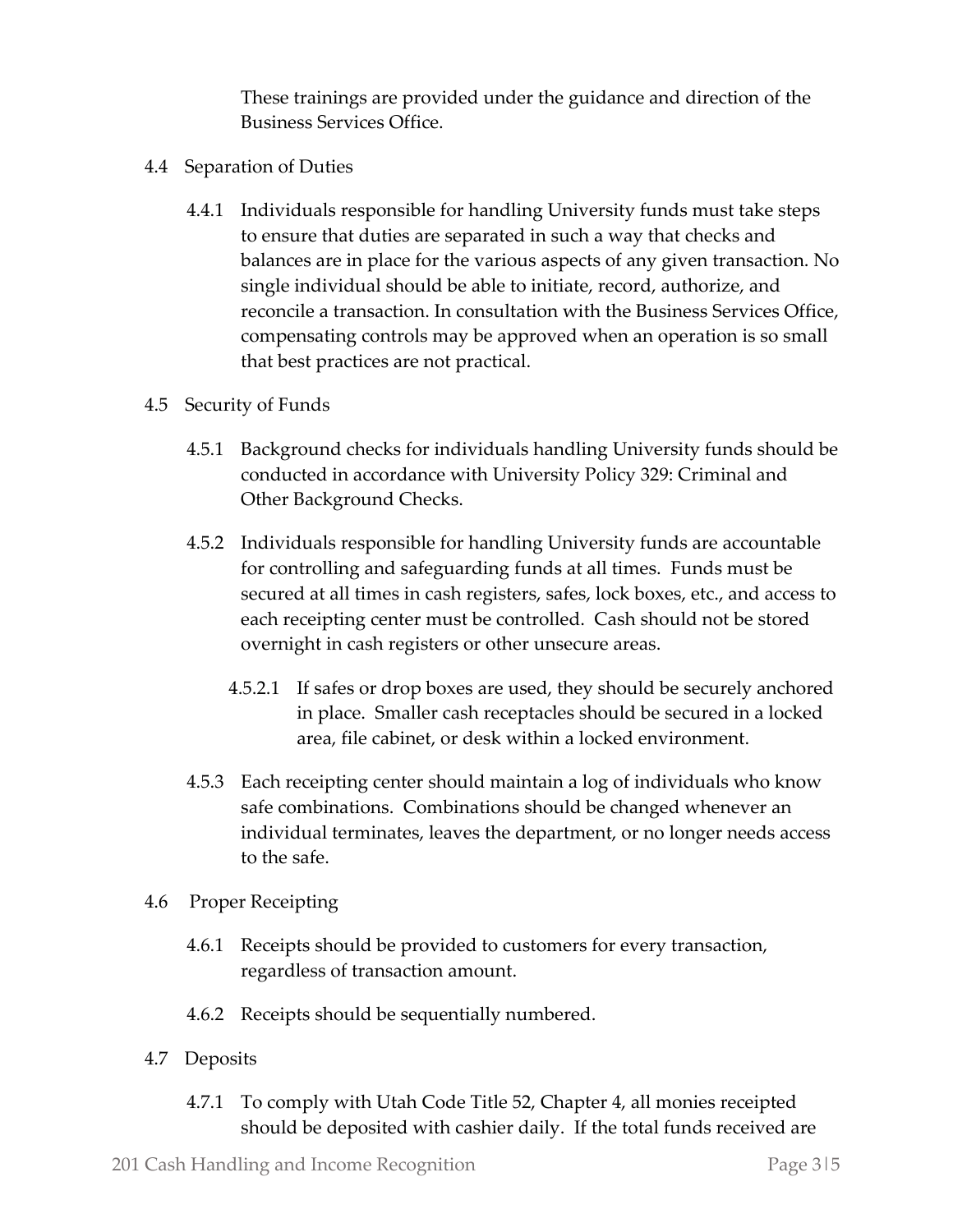These trainings are provided under the guidance and direction of the Business Services Office.

- 4.4 Separation of Duties
	- 4.4.1 Individuals responsible for handling University funds must take steps to ensure that duties are separated in such a way that checks and balances are in place for the various aspects of any given transaction. No single individual should be able to initiate, record, authorize, and reconcile a transaction. In consultation with the Business Services Office, compensating controls may be approved when an operation is so small that best practices are not practical.
- 4.5 Security of Funds
	- 4.5.1 Background checks for individuals handling University funds should be conducted in accordance with University Policy 329: Criminal and Other Background Checks.
	- 4.5.2 Individuals responsible for handling University funds are accountable for controlling and safeguarding funds at all times. Funds must be secured at all times in cash registers, safes, lock boxes, etc., and access to each receipting center must be controlled. Cash should not be stored overnight in cash registers or other unsecure areas.
		- 4.5.2.1 If safes or drop boxes are used, they should be securely anchored in place. Smaller cash receptacles should be secured in a locked area, file cabinet, or desk within a locked environment.
	- 4.5.3 Each receipting center should maintain a log of individuals who know safe combinations. Combinations should be changed whenever an individual terminates, leaves the department, or no longer needs access to the safe.
- 4.6 Proper Receipting
	- 4.6.1 Receipts should be provided to customers for every transaction, regardless of transaction amount.
	- 4.6.2 Receipts should be sequentially numbered.
- 4.7 Deposits
	- 4.7.1 To comply with Utah Code Title 52, Chapter 4, all monies receipted should be deposited with cashier daily. If the total funds received are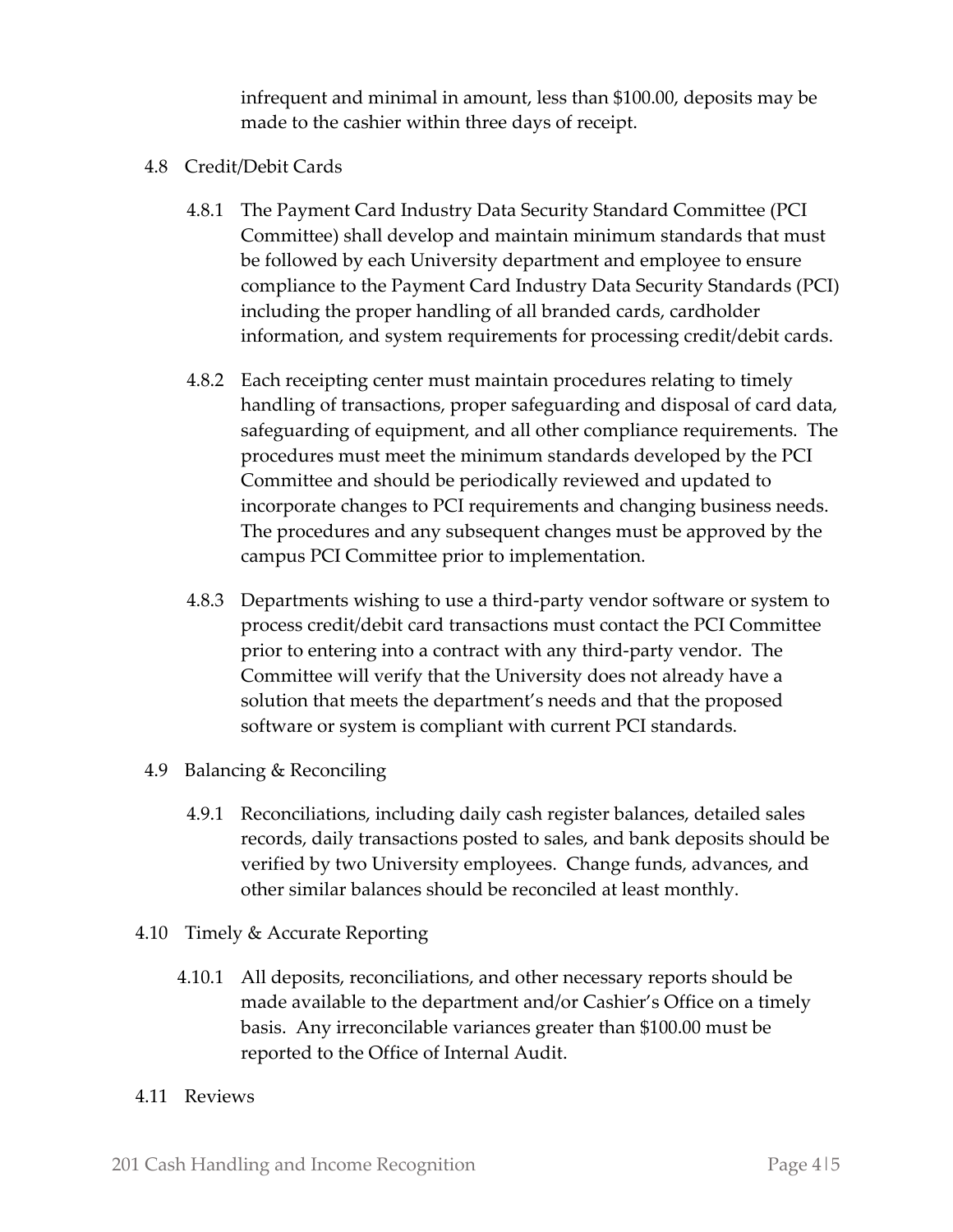infrequent and minimal in amount, less than \$100.00, deposits may be made to the cashier within three days of receipt.

- 4.8 Credit/Debit Cards
	- 4.8.1 The Payment Card Industry Data Security Standard Committee (PCI Committee) shall develop and maintain minimum standards that must be followed by each University department and employee to ensure compliance to the Payment Card Industry Data Security Standards (PCI) including the proper handling of all branded cards, cardholder information, and system requirements for processing credit/debit cards.
	- 4.8.2 Each receipting center must maintain procedures relating to timely handling of transactions, proper safeguarding and disposal of card data, safeguarding of equipment, and all other compliance requirements. The procedures must meet the minimum standards developed by the PCI Committee and should be periodically reviewed and updated to incorporate changes to PCI requirements and changing business needs. The procedures and any subsequent changes must be approved by the campus PCI Committee prior to implementation.
	- 4.8.3 Departments wishing to use a third-party vendor software or system to process credit/debit card transactions must contact the PCI Committee prior to entering into a contract with any third-party vendor. The Committee will verify that the University does not already have a solution that meets the department's needs and that the proposed software or system is compliant with current PCI standards.
- 4.9 Balancing & Reconciling
	- 4.9.1 Reconciliations, including daily cash register balances, detailed sales records, daily transactions posted to sales, and bank deposits should be verified by two University employees. Change funds, advances, and other similar balances should be reconciled at least monthly.
- 4.10 Timely & Accurate Reporting
	- 4.10.1 All deposits, reconciliations, and other necessary reports should be made available to the department and/or Cashier's Office on a timely basis. Any irreconcilable variances greater than \$100.00 must be reported to the Office of Internal Audit.
- 4.11 Reviews